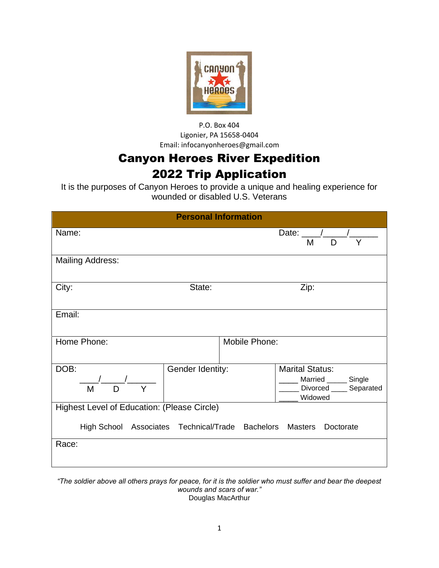

P.O. Box 404 Ligonier, PA 15658-0404 Email: infocanyonheroes@gmail.com

## Canyon Heroes River Expedition 2022 Trip Application

It is the purposes of Canyon Heroes to provide a unique and healing experience for wounded or disabled U.S. Veterans

|                                                                                                                      | <b>Personal Information</b> |               |                                                                                          |  |
|----------------------------------------------------------------------------------------------------------------------|-----------------------------|---------------|------------------------------------------------------------------------------------------|--|
| Name:                                                                                                                |                             |               | Date: $\frac{1}{\sqrt{2}}$<br>Y<br>M<br>D                                                |  |
| <b>Mailing Address:</b>                                                                                              |                             |               |                                                                                          |  |
| City:                                                                                                                | State:                      |               | Zip:                                                                                     |  |
| Email:                                                                                                               |                             |               |                                                                                          |  |
| Home Phone:                                                                                                          |                             | Mobile Phone: |                                                                                          |  |
| DOB:<br>M<br>Y<br>D                                                                                                  | Gender Identity:            |               | <b>Marital Status:</b><br>__ Married _____ Single<br>Divorced _____ Separated<br>Widowed |  |
| Highest Level of Education: (Please Circle)<br>High School Associates Technical/Trade Bachelors Masters<br>Doctorate |                             |               |                                                                                          |  |
| Race:                                                                                                                |                             |               |                                                                                          |  |

*"The soldier above all others prays for peace, for it is the soldier who must suffer and bear the deepest wounds and scars of war."* Douglas MacArthur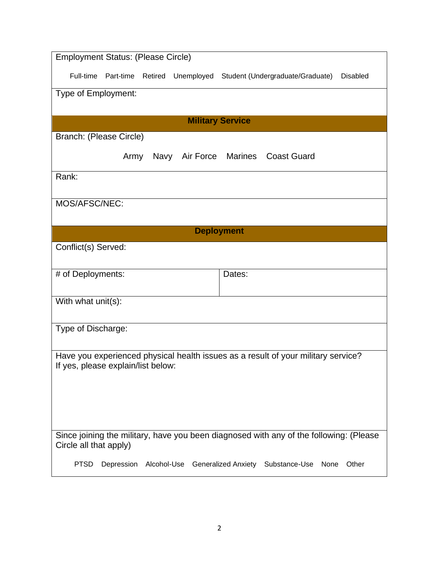| <b>Employment Status: (Please Circle)</b>                                                                        |  |  |  |  |  |
|------------------------------------------------------------------------------------------------------------------|--|--|--|--|--|
| Full-time Part-time<br>Retired Unemployed Student (Undergraduate/Graduate)<br><b>Disabled</b>                    |  |  |  |  |  |
| Type of Employment:                                                                                              |  |  |  |  |  |
|                                                                                                                  |  |  |  |  |  |
| <b>Military Service</b>                                                                                          |  |  |  |  |  |
| Branch: (Please Circle)                                                                                          |  |  |  |  |  |
| Navy Air Force Marines<br><b>Coast Guard</b><br>Army                                                             |  |  |  |  |  |
| Rank:                                                                                                            |  |  |  |  |  |
|                                                                                                                  |  |  |  |  |  |
| MOS/AFSC/NEC:                                                                                                    |  |  |  |  |  |
| <b>Deployment</b>                                                                                                |  |  |  |  |  |
| Conflict(s) Served:                                                                                              |  |  |  |  |  |
|                                                                                                                  |  |  |  |  |  |
| # of Deployments:<br>Dates:                                                                                      |  |  |  |  |  |
|                                                                                                                  |  |  |  |  |  |
| With what unit(s):                                                                                               |  |  |  |  |  |
|                                                                                                                  |  |  |  |  |  |
| Type of Discharge:                                                                                               |  |  |  |  |  |
| Have you experienced physical health issues as a result of your military service?                                |  |  |  |  |  |
| If yes, please explain/list below:                                                                               |  |  |  |  |  |
|                                                                                                                  |  |  |  |  |  |
|                                                                                                                  |  |  |  |  |  |
|                                                                                                                  |  |  |  |  |  |
|                                                                                                                  |  |  |  |  |  |
| Since joining the military, have you been diagnosed with any of the following: (Please<br>Circle all that apply) |  |  |  |  |  |
| <b>PTSD</b><br>Depression Alcohol-Use<br><b>Generalized Anxiety</b><br>Other<br>Substance-Use<br>None            |  |  |  |  |  |